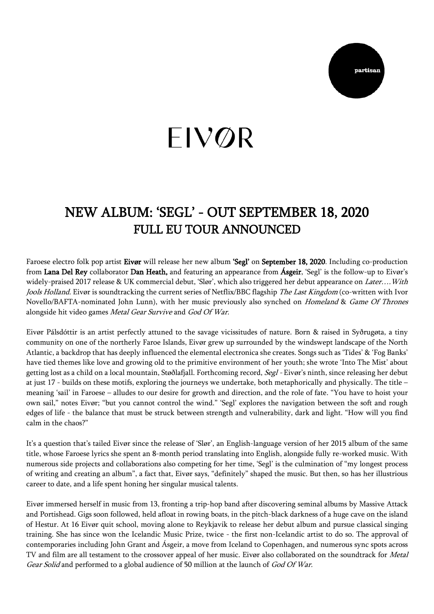

## $\overline{\phantom{a}}$  $\overline{a}$

## NEW ALBUM: 'SEGL' - OUT SEPTEMBER 18, 2020 FULL EU TOUR ANNOUNCED

Faroese electro folk pop artist Eivør will release her new album 'Segl' on September 18, 2020. Including co-production from Lana Del Rey collaborator Dan Heath, and featuring an appearance from Ásgeir, 'Segl' is the follow-up to Eivør's widely-praised 2017 release & UK commercial debut, 'Slør', which also triggered her debut appearance on Later.... With Jools Holland. Eivør is soundtracking the current series of Netflix/BBC flagship The Last Kingdom (co-written with Ivor Novello/BAFTA-nominated John Lunn), with her music previously also synched on Homeland & Game Of Thrones alongside hit video games Metal Gear Survive and God Of War.

Eivør Pálsdóttir is an artist perfectly attuned to the savage vicissitudes of nature. Born & raised in Syðrugøta, a tiny community on one of the northerly Faroe Islands, Eivør grew up surrounded by the windswept landscape of the North Atlantic, a backdrop that has deeply influenced the elemental electronica she creates. Songs such as 'Tides' & 'Fog Banks' have tied themes like love and growing old to the primitive environment of her youth; she wrote 'Into The Mist' about getting lost as a child on a local mountain, Støðlafjall. Forthcoming record, Segl - Eivør's ninth, since releasing her debut at just 17 - builds on these motifs, exploring the journeys we undertake, both metaphorically and physically. The title – meaning 'sail' in Faroese – alludes to our desire for growth and direction, and the role of fate. "You have to hoist your own sail," notes Eivør; "but you cannot control the wind." 'Segl' explores the navigation between the soft and rough edges of life - the balance that must be struck between strength and vulnerability, dark and light. "How will you find calm in the chaos?"

It's a question that's tailed Eivør since the release of 'Slør', an English-language version of her 2015 album of the same title, whose Faroese lyrics she spent an 8-month period translating into English, alongside fully re-worked music. With numerous side projects and collaborations also competing for her time, 'Segl' is the culmination of "my longest process of writing and creating an album", a fact that, Eivør says, "definitely" shaped the music. But then, so has her illustrious career to date, and a life spent honing her singular musical talents.

Eivør immersed herself in music from 13, fronting a trip-hop band after discovering seminal albums by Massive Attack and Portishead. Gigs soon followed, held afloat in rowing boats, in the pitch-black darkness of a huge cave on the island of Hestur. At 16 Eivør quit school, moving alone to Reykjavik to release her debut album and pursue classical singing training. She has since won the Icelandic Music Prize, twice - the first non-Icelandic artist to do so. The approval of contemporaries including John Grant and Ásgeir, a move from Iceland to Copenhagen, and numerous sync spots across TV and film are all testament to the crossover appeal of her music. Eivør also collaborated on the soundtrack for Metal Gear Solid and performed to a global audience of 50 million at the launch of God Of War.